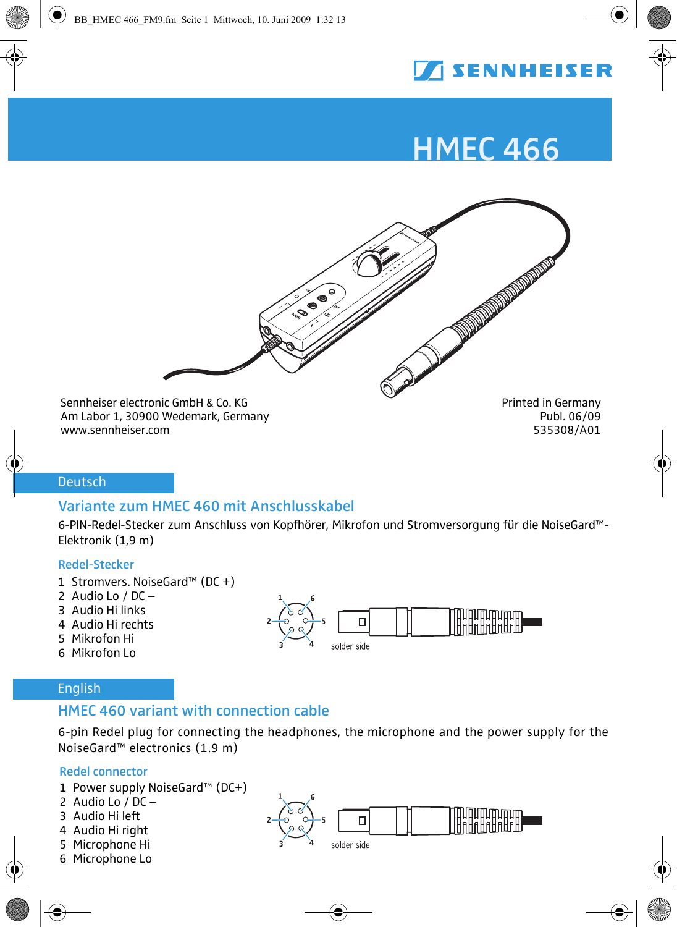

# HMEC 466



Am Labor 1, 30900 Wedemark, Germany Publ. 06/09<br>www.sennheiser.com Publ. 06/09 Publ. 06/09 www.sennheiser.com 535308/A01

## Deutsch

## Variante zum HMEC 460 mit Anschlusskabel

6-PIN-Redel-Stecker zum Anschluss von Kopfhörer, Mikrofon und Stromversorgung für die NoiseGard™-Elektronik (1,9 m)

#### Redel-Stecker

- 1 Stromvers. NoiseGard<sup>™</sup> (DC +)
- 2 Audio Lo  $/$  DC  $-$
- 3 Audio Hi links
- 4 Audio Hi rechts
- 5 Mikrofon Hi
- 6 Mikrofon Lo



## English

## HMEC 460 variant with connection cable

6-pin Redel plug for connecting the headphones, the microphone and the power supply for the NoiseGard<sup>™</sup> electronics (1.9 m)

#### Redel connector

- 1 Power supply NoiseGard<sup>TM</sup> (DC+)
- 2 Audio Lo  $\overline{D}$  DC  $-$
- 3 Audio Hi left
- 4 Audio Hi right
- 5 Microphone Hi
- 6 Microphone Lo